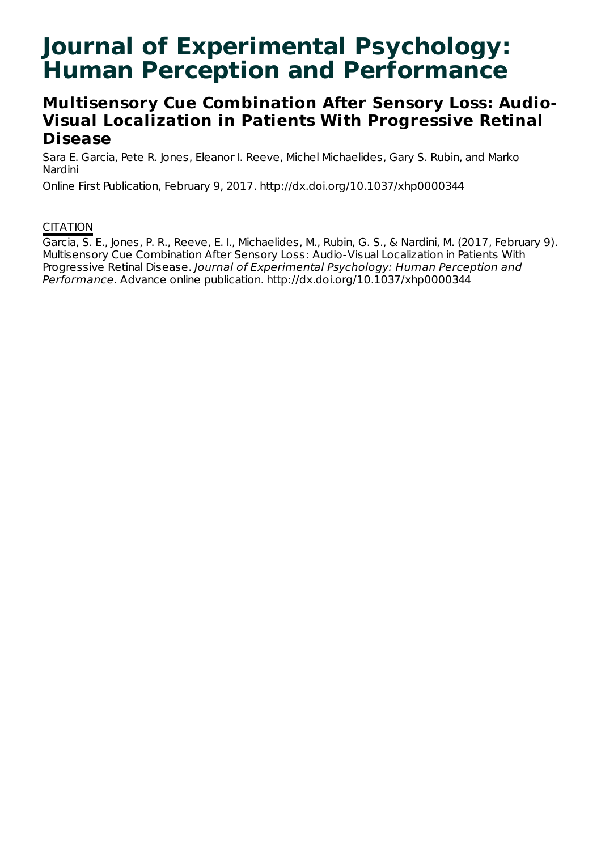# **Journal of Experimental Psychology: Human Perception and Performance**

# **Multisensory Cue Combination After Sensory Loss: Audio-Visual Localization in Patients With Progressive Retinal Disease**

Sara E. Garcia, Pete R. Jones, Eleanor I. Reeve, Michel Michaelides, Gary S. Rubin, and Marko Nardini

Online First Publication, February 9, 2017. http://dx.doi.org/10.1037/xhp0000344

# **CITATION**

Garcia, S. E., Jones, P. R., Reeve, E. I., Michaelides, M., Rubin, G. S., & Nardini, M. (2017, February 9). Multisensory Cue Combination After Sensory Loss: Audio-Visual Localization in Patients With Progressive Retinal Disease. Journal of Experimental Psychology: Human Perception and Performance. Advance online publication. http://dx.doi.org/10.1037/xhp0000344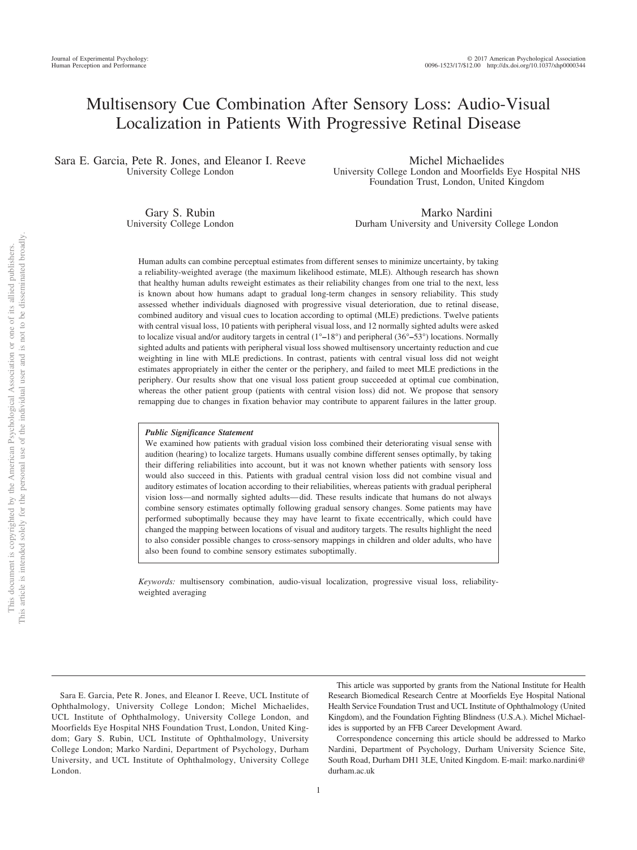# Multisensory Cue Combination After Sensory Loss: Audio-Visual Localization in Patients With Progressive Retinal Disease

Sara E. Garcia, Pete R. Jones, and Eleanor I. Reeve University College London

> Gary S. Rubin University College London

Michel Michaelides University College London and Moorfields Eye Hospital NHS Foundation Trust, London, United Kingdom

Marko Nardini Durham University and University College London

Human adults can combine perceptual estimates from different senses to minimize uncertainty, by taking a reliability-weighted average (the maximum likelihood estimate, MLE). Although research has shown that healthy human adults reweight estimates as their reliability changes from one trial to the next, less is known about how humans adapt to gradual long-term changes in sensory reliability. This study assessed whether individuals diagnosed with progressive visual deterioration, due to retinal disease, combined auditory and visual cues to location according to optimal (MLE) predictions. Twelve patients with central visual loss, 10 patients with peripheral visual loss, and 12 normally sighted adults were asked to localize visual and/or auditory targets in central (1**°–**18**°**) and peripheral (36**°–**53**°**) locations. Normally sighted adults and patients with peripheral visual loss showed multisensory uncertainty reduction and cue weighting in line with MLE predictions. In contrast, patients with central visual loss did not weight estimates appropriately in either the center or the periphery, and failed to meet MLE predictions in the periphery. Our results show that one visual loss patient group succeeded at optimal cue combination, whereas the other patient group (patients with central vision loss) did not. We propose that sensory remapping due to changes in fixation behavior may contribute to apparent failures in the latter group.

#### *Public Significance Statement*

We examined how patients with gradual vision loss combined their deteriorating visual sense with audition (hearing) to localize targets. Humans usually combine different senses optimally, by taking their differing reliabilities into account, but it was not known whether patients with sensory loss would also succeed in this. Patients with gradual central vision loss did not combine visual and auditory estimates of location according to their reliabilities, whereas patients with gradual peripheral vision loss—and normally sighted adults— did. These results indicate that humans do not always combine sensory estimates optimally following gradual sensory changes. Some patients may have performed suboptimally because they may have learnt to fixate eccentrically, which could have changed the mapping between locations of visual and auditory targets. The results highlight the need to also consider possible changes to cross-sensory mappings in children and older adults, who have also been found to combine sensory estimates suboptimally.

*Keywords:* multisensory combination, audio-visual localization, progressive visual loss, reliabilityweighted averaging

Sara E. Garcia, Pete R. Jones, and Eleanor I. Reeve, UCL Institute of Ophthalmology, University College London; Michel Michaelides, UCL Institute of Ophthalmology, University College London, and Moorfields Eye Hospital NHS Foundation Trust, London, United Kingdom; Gary S. Rubin, UCL Institute of Ophthalmology, University College London; Marko Nardini, Department of Psychology, Durham University, and UCL Institute of Ophthalmology, University College London.

This article was supported by grants from the National Institute for Health Research Biomedical Research Centre at Moorfields Eye Hospital National Health Service Foundation Trust and UCL Institute of Ophthalmology (United Kingdom), and the Foundation Fighting Blindness (U.S.A.). Michel Michaelides is supported by an FFB Career Development Award.

Correspondence concerning this article should be addressed to Marko Nardini, Department of Psychology, Durham University Science Site, South Road, Durham DH1 3LE, United Kingdom. E-mail: [marko.nardini@](mailto:marko.nardini@durham.ac.uk) [durham.ac.uk](mailto:marko.nardini@durham.ac.uk)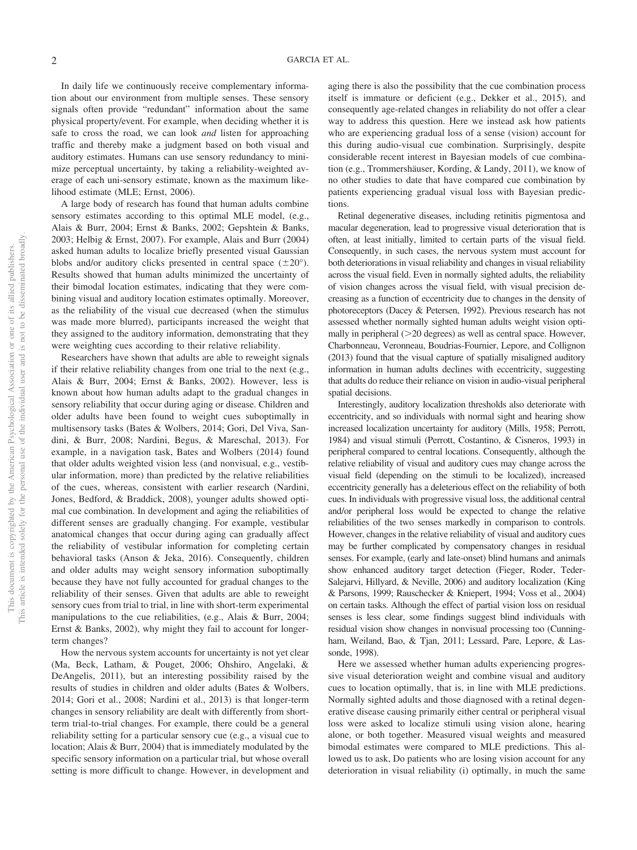In daily life we continuously receive complementary information about our environment from multiple senses. These sensory signals often provide "redundant" information about the same physical property/event. For example, when deciding whether it is safe to cross the road, we can look *and* listen for approaching traffic and thereby make a judgment based on both visual and auditory estimates. Humans can use sensory redundancy to minimize perceptual uncertainty, by taking a reliability-weighted average of each uni-sensory estimate, known as the maximum likelihood estimate (MLE; Ernst, 2006).

A large body of research has found that human adults combine sensory estimates according to this optimal MLE model, (e.g., Alais & Burr, 2004; Ernst & Banks, 2002; Gepshtein & Banks, 2003; Helbig & Ernst, 2007). For example, Alais and Burr (2004) asked human adults to localize briefly presented visual Gaussian blobs and/or auditory clicks presented in central space  $(\pm 20^{\circ})$ . Results showed that human adults minimized the uncertainty of their bimodal location estimates, indicating that they were combining visual and auditory location estimates optimally. Moreover, as the reliability of the visual cue decreased (when the stimulus was made more blurred), participants increased the weight that they assigned to the auditory information, demonstrating that they were weighting cues according to their relative reliability.

Researchers have shown that adults are able to reweight signals if their relative reliability changes from one trial to the next (e.g., Alais & Burr, 2004; Ernst & Banks, 2002). However, less is known about how human adults adapt to the gradual changes in sensory reliability that occur during aging or disease. Children and older adults have been found to weight cues suboptimally in multisensory tasks (Bates & Wolbers, 2014; Gori, Del Viva, Sandini, & Burr, 2008; Nardini, Begus, & Mareschal, 2013). For example, in a navigation task, Bates and Wolbers (2014) found that older adults weighted vision less (and nonvisual, e.g., vestibular information, more) than predicted by the relative reliabilities of the cues, whereas, consistent with earlier research (Nardini, Jones, Bedford, & Braddick, 2008), younger adults showed optimal cue combination. In development and aging the reliabilities of different senses are gradually changing. For example, vestibular anatomical changes that occur during aging can gradually affect the reliability of vestibular information for completing certain behavioral tasks (Anson & Jeka, 2016). Consequently, children and older adults may weight sensory information suboptimally because they have not fully accounted for gradual changes to the reliability of their senses. Given that adults are able to reweight sensory cues from trial to trial, in line with short-term experimental manipulations to the cue reliabilities, (e.g., Alais & Burr, 2004; Ernst & Banks, 2002), why might they fail to account for longerterm changes?

How the nervous system accounts for uncertainty is not yet clear (Ma, Beck, Latham, & Pouget, 2006; Ohshiro, Angelaki, & DeAngelis, 2011), but an interesting possibility raised by the results of studies in children and older adults (Bates & Wolbers, 2014; Gori et al., 2008; Nardini et al., 2013) is that longer-term changes in sensory reliability are dealt with differently from shortterm trial-to-trial changes. For example, there could be a general reliability setting for a particular sensory cue (e.g., a visual cue to location; Alais & Burr, 2004) that is immediately modulated by the specific sensory information on a particular trial, but whose overall setting is more difficult to change. However, in development and

aging there is also the possibility that the cue combination process itself is immature or deficient (e.g., Dekker et al., 2015), and consequently age-related changes in reliability do not offer a clear way to address this question. Here we instead ask how patients who are experiencing gradual loss of a sense (vision) account for this during audio-visual cue combination. Surprisingly, despite considerable recent interest in Bayesian models of cue combination (e.g., Trommershäuser, Kording, & Landy, 2011), we know of no other studies to date that have compared cue combination by patients experiencing gradual visual loss with Bayesian predictions.

Retinal degenerative diseases, including retinitis pigmentosa and macular degeneration, lead to progressive visual deterioration that is often, at least initially, limited to certain parts of the visual field. Consequently, in such cases, the nervous system must account for both deteriorations in visual reliability and changes in visual reliability across the visual field. Even in normally sighted adults, the reliability of vision changes across the visual field, with visual precision decreasing as a function of eccentricity due to changes in the density of photoreceptors (Dacey & Petersen, 1992). Previous research has not assessed whether normally sighted human adults weight vision optimally in peripheral  $(>20$  degrees) as well as central space. However, [Charbonneau, Veronneau, Boudrias-Fournier, Lepore, and Collignon](#page-11-0) [\(2013\)](#page-11-0) found that the visual capture of spatially misaligned auditory information in human adults declines with eccentricity, suggesting that adults do reduce their reliance on vision in audio-visual peripheral spatial decisions.

Interestingly, auditory localization thresholds also deteriorate with eccentricity, and so individuals with normal sight and hearing show increased localization uncertainty for auditory (Mills, 1958; Perrott, 1984) and visual stimuli (Perrott, Costantino, & Cisneros, 1993) in peripheral compared to central locations. Consequently, although the relative reliability of visual and auditory cues may change across the visual field (depending on the stimuli to be localized), increased eccentricity generally has a deleterious effect on the reliability of both cues. In individuals with progressive visual loss, the additional central and/or peripheral loss would be expected to change the relative reliabilities of the two senses markedly in comparison to controls. However, changes in the relative reliability of visual and auditory cues may be further complicated by compensatory changes in residual senses. For example, (early and late-onset) blind humans and animals show enhanced auditory target detection (Fieger, Roder, Teder-Salejarvi, Hillyard, & Neville, 2006) and auditory localization (King & Parsons, 1999; Rauschecker & Kniepert, 1994; Voss et al., 2004) on certain tasks. Although the effect of partial vision loss on residual senses is less clear, some findings suggest blind individuals with residual vision show changes in nonvisual processing too [\(Cunning](#page-11-1)[ham, Weiland, Bao, & Tjan, 2011;](#page-11-1) Lessard, Pare, Lepore, & Lassonde, 1998).

Here we assessed whether human adults experiencing progressive visual deterioration weight and combine visual and auditory cues to location optimally, that is, in line with MLE predictions. Normally sighted adults and those diagnosed with a retinal degenerative disease causing primarily either central or peripheral visual loss were asked to localize stimuli using vision alone, hearing alone, or both together. Measured visual weights and measured bimodal estimates were compared to MLE predictions. This allowed us to ask, Do patients who are losing vision account for any deterioration in visual reliability (i) optimally, in much the same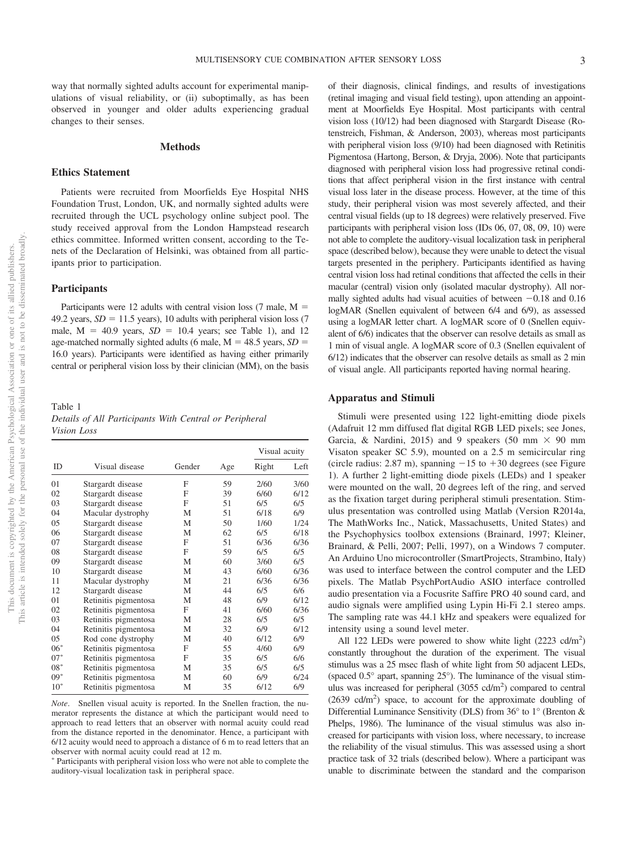way that normally sighted adults account for experimental manipulations of visual reliability, or (ii) suboptimally, as has been observed in younger and older adults experiencing gradual changes to their senses.

#### **Methods**

#### **Ethics Statement**

Patients were recruited from Moorfields Eye Hospital NHS Foundation Trust, London, UK, and normally sighted adults were recruited through the UCL psychology online subject pool. The study received approval from the London Hampstead research ethics committee. Informed written consent, according to the Tenets of the Declaration of Helsinki, was obtained from all participants prior to participation.

## **Participants**

Participants were 12 adults with central vision loss (7 male,  $M =$ 49.2 years,  $SD = 11.5$  years), 10 adults with peripheral vision loss (7) male,  $M = 40.9$  years,  $SD = 10.4$  years; see Table 1), and 12 age-matched normally sighted adults (6 male,  $M = 48.5$  years,  $SD =$ 16.0 years). Participants were identified as having either primarily central or peripheral vision loss by their clinician (MM), on the basis

Table 1 *Details of All Participants With Central or Peripheral Vision Loss*

|          |                      |        |     | Visual acuity |      |
|----------|----------------------|--------|-----|---------------|------|
| ID       | Visual disease       | Gender | Age | Right         | Left |
| 01       | Stargardt disease    | F      | 59  | 2/60          | 3/60 |
| 02       | Stargardt disease    | F      | 39  | 6/60          | 6/12 |
| 03       | Stargardt disease    | F      | 51  | 6/5           | 6/5  |
| 04       | Macular dystrophy    | M      | 51  | 6/18          | 6/9  |
| 05       | Stargardt disease    | М      | 50  | 1/60          | 1/24 |
| 06       | Stargardt disease    | М      | 62  | 6/5           | 6/18 |
| 07       | Stargardt disease    | F      | 51  | 6/36          | 6/36 |
| 08       | Stargardt disease    | F      | 59  | 6/5           | 6/5  |
| 09       | Stargardt disease    | М      | 60  | 3/60          | 6/5  |
| 10       | Stargardt disease    | М      | 43  | 6/60          | 6/36 |
| 11       | Macular dystrophy    | M      | 21  | 6/36          | 6/36 |
| 12       | Stargardt disease    | M      | 44  | 6/5           | 6/6  |
| 01       | Retinitis pigmentosa | М      | 48  | 6/9           | 6/12 |
| 02       | Retinitis pigmentosa | F      | 41  | 6/60          | 6/36 |
| 03       | Retinitis pigmentosa | M      | 28  | 6/5           | 6/5  |
| 04       | Retinitis pigmentosa | M      | 32  | 6/9           | 6/12 |
| 05       | Rod cone dystrophy   | М      | 40  | 6/12          | 6/9  |
| $06*$    | Retinitis pigmentosa | F      | 55  | 4/60          | 6/9  |
| $07*$    | Retinitis pigmentosa | F      | 35  | 6/5           | 6/6  |
| $08*$    | Retinitis pigmentosa | М      | 35  | 6/5           | 6/5  |
| $09*$    | Retinitis pigmentosa | М      | 60  | 6/9           | 6/24 |
| $10^{*}$ | Retinitis pigmentosa | М      | 35  | 6/12          | 6/9  |

*Note*. Snellen visual acuity is reported. In the Snellen fraction, the numerator represents the distance at which the participant would need to approach to read letters that an observer with normal acuity could read from the distance reported in the denominator. Hence, a participant with 6/12 acuity would need to approach a distance of 6 m to read letters that an observer with normal acuity could read at 12 m.

- Participants with peripheral vision loss who were not able to complete the auditory-visual localization task in peripheral space.

of their diagnosis, clinical findings, and results of investigations (retinal imaging and visual field testing), upon attending an appointment at Moorfields Eye Hospital. Most participants with central vision loss (10/12) had been diagnosed with Stargardt Disease (Rotenstreich, Fishman, & Anderson, 2003), whereas most participants with peripheral vision loss (9/10) had been diagnosed with Retinitis Pigmentosa (Hartong, Berson, & Dryja, 2006). Note that participants diagnosed with peripheral vision loss had progressive retinal conditions that affect peripheral vision in the first instance with central visual loss later in the disease process. However, at the time of this study, their peripheral vision was most severely affected, and their central visual fields (up to 18 degrees) were relatively preserved. Five participants with peripheral vision loss (IDs 06, 07, 08, 09, 10) were not able to complete the auditory-visual localization task in peripheral space (described below), because they were unable to detect the visual targets presented in the periphery. Participants identified as having central vision loss had retinal conditions that affected the cells in their macular (central) vision only (isolated macular dystrophy). All normally sighted adults had visual acuities of between  $-0.18$  and 0.16 logMAR (Snellen equivalent of between 6/4 and 6/9), as assessed using a logMAR letter chart. A logMAR score of 0 (Snellen equivalent of 6/6) indicates that the observer can resolve details as small as 1 min of visual angle. A logMAR score of 0.3 (Snellen equivalent of 6/12) indicates that the observer can resolve details as small as 2 min of visual angle. All participants reported having normal hearing.

#### **Apparatus and Stimuli**

Stimuli were presented using 122 light-emitting diode pixels (Adafruit 12 mm diffused flat digital RGB LED pixels; see Jones, Garcia, & Nardini, 2015) and 9 speakers (50 mm  $\times$  90 mm Visaton speaker SC 5.9), mounted on a 2.5 m semicircular ring (circle radius: 2.87 m), spanning  $-15$  to  $+30$  degrees (see [Figure](#page-4-0) [1\)](#page-4-0). A further 2 light-emitting diode pixels (LEDs) and 1 speaker were mounted on the wall, 20 degrees left of the ring, and served as the fixation target during peripheral stimuli presentation. Stimulus presentation was controlled using Matlab (Version R2014a, The MathWorks Inc., Natick, Massachusetts, United States) and the Psychophysics toolbox extensions (Brainard, 1997; Kleiner, Brainard, & Pelli, 2007; Pelli, 1997), on a Windows 7 computer. An Arduino Uno microcontroller (SmartProjects, Strambino, Italy) was used to interface between the control computer and the LED pixels. The Matlab PsychPortAudio ASIO interface controlled audio presentation via a Focusrite Saffire PRO 40 sound card, and audio signals were amplified using Lypin Hi-Fi 2.1 stereo amps. The sampling rate was 44.1 kHz and speakers were equalized for intensity using a sound level meter.

All 122 LEDs were powered to show white light  $(2223 \text{ cd/m}^2)$ constantly throughout the duration of the experiment. The visual stimulus was a 25 msec flash of white light from 50 adjacent LEDs, (spaced 0.5° apart, spanning 25°). The luminance of the visual stimulus was increased for peripheral  $(3055 \text{ cd/m}^2)$  compared to central  $(2639 \text{ cd/m}^2)$  space, to account for the approximate doubling of Differential Luminance Sensitivity (DLS) from 36° to 1° [\(Brenton &](#page-11-2) [Phelps, 1986\)](#page-11-2). The luminance of the visual stimulus was also increased for participants with vision loss, where necessary, to increase the reliability of the visual stimulus. This was assessed using a short practice task of 32 trials (described below). Where a participant was unable to discriminate between the standard and the comparison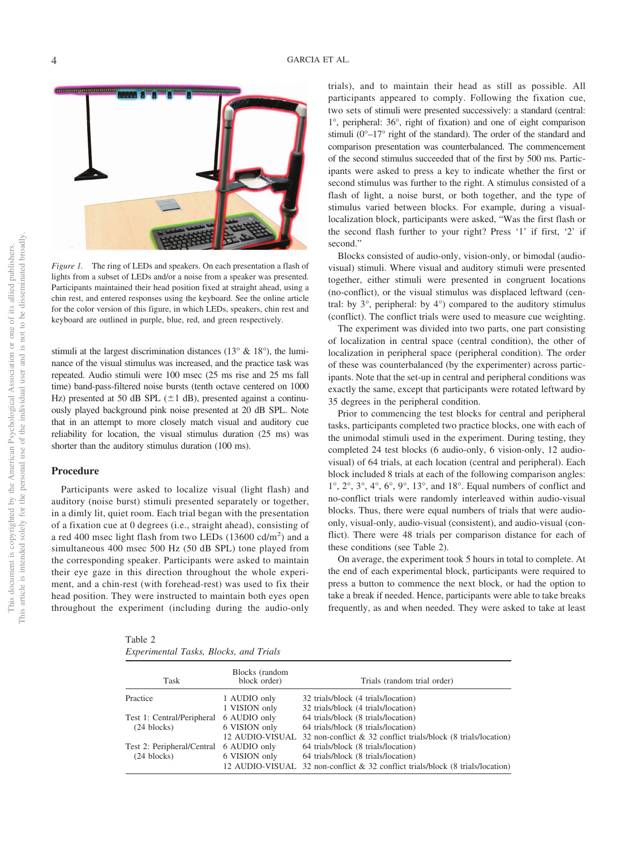<span id="page-4-0"></span>*Figure 1.* The ring of LEDs and speakers. On each presentation a flash of lights from a subset of LEDs and/or a noise from a speaker was presented. Participants maintained their head position fixed at straight ahead, using a chin rest, and entered responses using the keyboard. See the online article for the color version of this figure, in which LEDs, speakers, chin rest and

keyboard are outlined in purple, blue, red, and green respectively.

stimuli at the largest discrimination distances (13 $\degree$  & 18 $\degree$ ), the luminance of the visual stimulus was increased, and the practice task was repeated. Audio stimuli were 100 msec (25 ms rise and 25 ms fall time) band-pass-filtered noise bursts (tenth octave centered on 1000 Hz) presented at 50 dB SPL  $(\pm 1$  dB), presented against a continuously played background pink noise presented at 20 dB SPL. Note that in an attempt to more closely match visual and auditory cue reliability for location, the visual stimulus duration (25 ms) was shorter than the auditory stimulus duration (100 ms).

# **Procedure**

Participants were asked to localize visual (light flash) and auditory (noise burst) stimuli presented separately or together, in a dimly lit, quiet room. Each trial began with the presentation of a fixation cue at 0 degrees (i.e., straight ahead), consisting of a red 400 msec light flash from two LEDs  $(13600 \text{ cd/m}^2)$  and a simultaneous 400 msec 500 Hz (50 dB SPL) tone played from the corresponding speaker. Participants were asked to maintain their eye gaze in this direction throughout the whole experiment, and a chin-rest (with forehead-rest) was used to fix their head position. They were instructed to maintain both eyes open throughout the experiment (including during the audio-only

trials), and to maintain their head as still as possible. All participants appeared to comply. Following the fixation cue, two sets of stimuli were presented successively: a standard (central: 1°, peripheral: 36°, right of fixation) and one of eight comparison stimuli (0°–17° right of the standard). The order of the standard and comparison presentation was counterbalanced. The commencement of the second stimulus succeeded that of the first by 500 ms. Participants were asked to press a key to indicate whether the first or second stimulus was further to the right. A stimulus consisted of a flash of light, a noise burst, or both together, and the type of stimulus varied between blocks. For example, during a visuallocalization block, participants were asked, "Was the first flash or the second flash further to your right? Press '1' if first, '2' if second."

Blocks consisted of audio-only, vision-only, or bimodal (audiovisual) stimuli. Where visual and auditory stimuli were presented together, either stimuli were presented in congruent locations (no-conflict), or the visual stimulus was displaced leftward (central: by 3°, peripheral: by 4°) compared to the auditory stimulus (conflict). The conflict trials were used to measure cue weighting.

The experiment was divided into two parts, one part consisting of localization in central space (central condition), the other of localization in peripheral space (peripheral condition). The order of these was counterbalanced (by the experimenter) across participants. Note that the set-up in central and peripheral conditions was exactly the same, except that participants were rotated leftward by 35 degrees in the peripheral condition.

Prior to commencing the test blocks for central and peripheral tasks, participants completed two practice blocks, one with each of the unimodal stimuli used in the experiment. During testing, they completed 24 test blocks (6 audio-only, 6 vision-only, 12 audiovisual) of 64 trials, at each location (central and peripheral). Each block included 8 trials at each of the following comparison angles: 1°, 2°, 3°, 4°, 6°, 9°, 13°, and 18°. Equal numbers of conflict and no-conflict trials were randomly interleaved within audio-visual blocks. Thus, there were equal numbers of trials that were audioonly, visual-only, audio-visual (consistent), and audio-visual (conflict). There were 48 trials per comparison distance for each of these conditions (see Table 2).

On average, the experiment took 5 hours in total to complete. At the end of each experimental block, participants were required to press a button to commence the next block, or had the option to take a break if needed. Hence, participants were able to take breaks frequently, as and when needed. They were asked to take at least

| Table 2                                |  |  |
|----------------------------------------|--|--|
| Experimental Tasks, Blocks, and Trials |  |  |

| Task                       | Blocks (random<br>block order) | Trials (random trial order)                                                    |
|----------------------------|--------------------------------|--------------------------------------------------------------------------------|
| Practice                   | 1 AUDIO only                   | 32 trials/block (4 trials/location)                                            |
|                            | 1 VISION only                  | 32 trials/block (4 trials/location)                                            |
| Test 1: Central/Peripheral | 6 AUDIO only                   | 64 trials/block (8 trials/location)                                            |
| $(24 \text{ blocks})$      | 6 VISION only                  | 64 trials/block (8 trials/location)                                            |
|                            | 12 AUDIO-VISUAL                | 32 non-conflict & 32 conflict trials/block (8 trials/location)                 |
| Test 2: Peripheral/Central | 6 AUDIO only                   | 64 trials/block (8 trials/location)                                            |
| $(24 \text{ blocks})$      | 6 VISION only                  | 64 trials/block (8 trials/location)                                            |
|                            |                                | 12 AUDIO-VISUAL 32 non-conflict & 32 conflict trials/block (8 trials/location) |

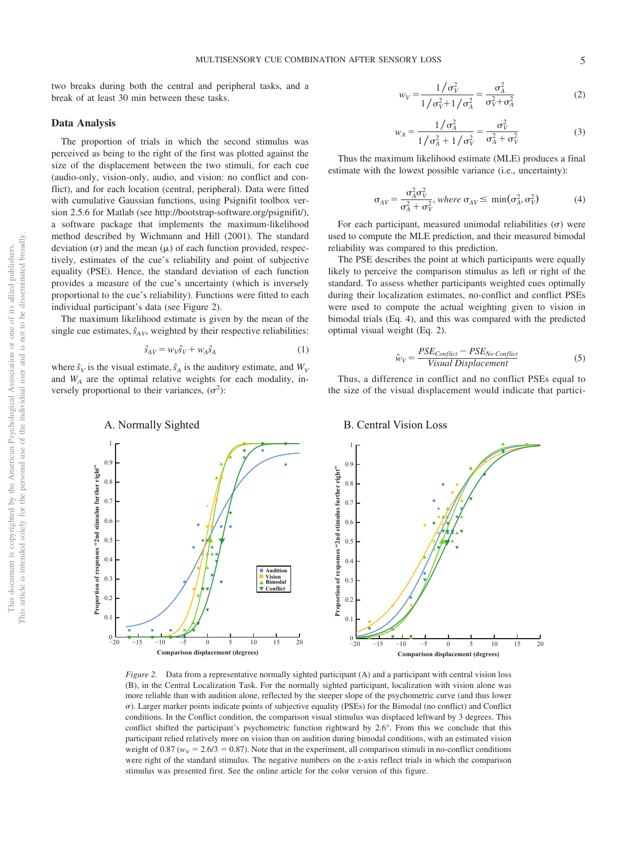two breaks during both the central and peripheral tasks, and a break of at least 30 min between these tasks.

## **Data Analysis**

The proportion of trials in which the second stimulus was perceived as being to the right of the first was plotted against the size of the displacement between the two stimuli, for each cue (audio-only, vision-only, audio, and vision: no conflict and conflict), and for each location (central, peripheral). Data were fitted with cumulative Gaussian functions, using Psignifit toolbox version 2.5.6 for Matlab (see [http://bootstrap-software.org/psignifit/\)](http://bootstrap-software.org/psignifit/), a software package that implements the maximum-likelihood method described by Wichmann and Hill (2001). The standard deviation  $(\sigma)$  and the mean  $(\mu)$  of each function provided, respectively, estimates of the cue's reliability and point of subjective equality (PSE). Hence, the standard deviation of each function provides a measure of the cue's uncertainty (which is inversely proportional to the cue's reliability). Functions were fitted to each individual participant's data (see [Figure 2\)](#page-5-0).

The maximum likelihood estimate is given by the mean of the single cue estimates,  $\hat{s}_{AV}$ , weighted by their respective reliabilities:

$$
\hat{s}_{AV} = w_V \hat{s}_V + w_A \hat{s}_A \tag{1}
$$

where  $\hat{s}_V$  is the visual estimate,  $\hat{s}_A$  is the auditory estimate, and  $W_V$ and  $W_A$  are the optimal relative weights for each modality, inversely proportional to their variances,  $(\sigma^2)$ :



$$
w_A = \frac{1/\sigma_A^2}{1/\sigma_A^2 + 1/\sigma_V^2} = \frac{\sigma_V^2}{\sigma_A^2 + \sigma_V^2}
$$
 (3)

Thus the maximum likelihood estimate (MLE) produces a final estimate with the lowest possible variance (i.e., uncertainty):

$$
\sigma_{AV} = \frac{\sigma_A^2 \sigma_V^2}{\sigma_A^2 + \sigma_V^2}, \text{ where } \sigma_{AV} \le \min(\sigma_A^2, \sigma_V^2) \tag{4}
$$

For each participant, measured unimodal reliabilities  $(\sigma)$  were used to compute the MLE prediction, and their measured bimodal reliability was compared to this prediction.

The PSE describes the point at which participants were equally likely to perceive the comparison stimulus as left or right of the standard. To assess whether participants weighted cues optimally during their localization estimates, no-conflict and conflict PSEs were used to compute the actual weighting given to vision in bimodal trials (Eq. 4), and this was compared with the predicted optimal visual weight (Eq. 2).

$$
\hat{w}_V = \frac{PSE_{conflict} - PSE_{No\ Conflict}}{Visual\ Displacement}
$$
\n(5)

Thus, a difference in conflict and no conflict PSEs equal to the size of the visual displacement would indicate that partici-



<span id="page-5-0"></span>*Figure 2.* Data from a representative normally sighted participant (A) and a participant with central vision loss (B), in the Central Localization Task. For the normally sighted participant, localization with vision alone was more reliable than with audition alone, reflected by the steeper slope of the psychometric curve (and thus lower ). Larger marker points indicate points of subjective equality (PSEs) for the Bimodal (no conflict) and Conflict conditions. In the Conflict condition, the comparison visual stimulus was displaced leftward by 3 degrees. This conflict shifted the participant's psychometric function rightward by 2.6°. From this we conclude that this participant relied relatively more on vision than on audition during bimodal conditions, with an estimated vision weight of 0.87 ( $w_V = 2.6/3 = 0.87$ ). Note that in the experiment, all comparison stimuli in no-conflict conditions were right of the standard stimulus. The negative numbers on the *x*-axis reflect trials in which the comparison stimulus was presented first. See the online article for the color version of this figure.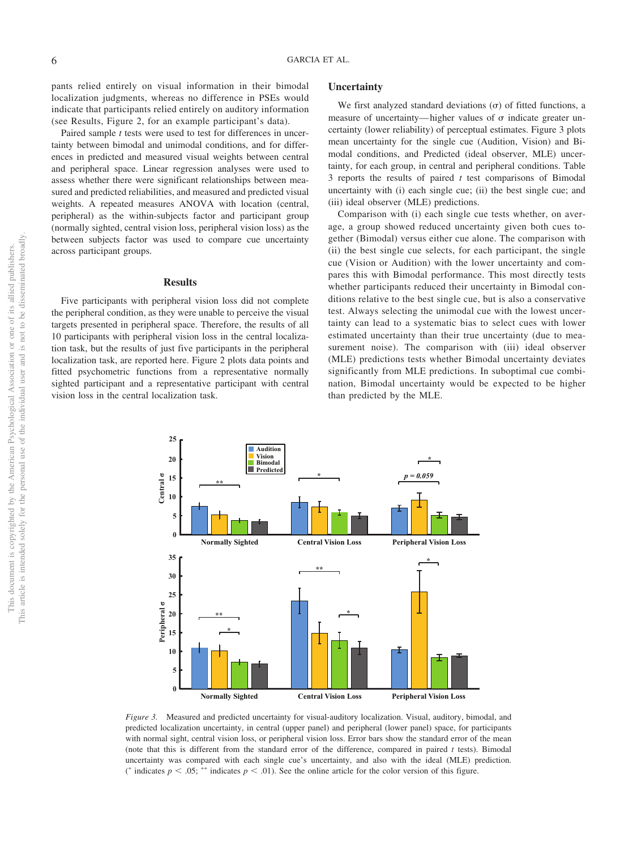pants relied entirely on visual information in their bimodal localization judgments, whereas no difference in PSEs would indicate that participants relied entirely on auditory information (see Results, [Figure 2,](#page-5-0) for an example participant's data).

Paired sample *t* tests were used to test for differences in uncertainty between bimodal and unimodal conditions, and for differences in predicted and measured visual weights between central and peripheral space. Linear regression analyses were used to assess whether there were significant relationships between measured and predicted reliabilities, and measured and predicted visual weights. A repeated measures ANOVA with location (central, peripheral) as the within-subjects factor and participant group (normally sighted, central vision loss, peripheral vision loss) as the between subjects factor was used to compare cue uncertainty across participant groups.

#### **Results**

Five participants with peripheral vision loss did not complete the peripheral condition, as they were unable to perceive the visual targets presented in peripheral space. Therefore, the results of all 10 participants with peripheral vision loss in the central localization task, but the results of just five participants in the peripheral localization task, are reported here. [Figure 2](#page-5-0) plots data points and fitted psychometric functions from a representative normally sighted participant and a representative participant with central vision loss in the central localization task.

### **Uncertainty**

We first analyzed standard deviations  $(\sigma)$  of fitted functions, a measure of uncertainty—higher values of  $\sigma$  indicate greater uncertainty (lower reliability) of perceptual estimates. Figure 3 plots mean uncertainty for the single cue (Audition, Vision) and Bimodal conditions, and Predicted (ideal observer, MLE) uncertainty, for each group, in central and peripheral conditions. Table 3 reports the results of paired *t* test comparisons of Bimodal uncertainty with (i) each single cue; (ii) the best single cue; and (iii) ideal observer (MLE) predictions.

Comparison with (i) each single cue tests whether, on average, a group showed reduced uncertainty given both cues together (Bimodal) versus either cue alone. The comparison with (ii) the best single cue selects, for each participant, the single cue (Vision or Audition) with the lower uncertainty and compares this with Bimodal performance. This most directly tests whether participants reduced their uncertainty in Bimodal conditions relative to the best single cue, but is also a conservative test. Always selecting the unimodal cue with the lowest uncertainty can lead to a systematic bias to select cues with lower estimated uncertainty than their true uncertainty (due to measurement noise). The comparison with (iii) ideal observer (MLE) predictions tests whether Bimodal uncertainty deviates significantly from MLE predictions. In suboptimal cue combination, Bimodal uncertainty would be expected to be higher than predicted by the MLE.



*Figure 3.* Measured and predicted uncertainty for visual-auditory localization. Visual, auditory, bimodal, and predicted localization uncertainty, in central (upper panel) and peripheral (lower panel) space, for participants with normal sight, central vision loss, or peripheral vision loss. Error bars show the standard error of the mean (note that this is different from the standard error of the difference, compared in paired *t* tests). Bimodal uncertainty was compared with each single cue's uncertainty, and also with the ideal (MLE) prediction. (\* indicates  $p < .05$ ; \*\* indicates  $p < .01$ ). See the online article for the color version of this figure.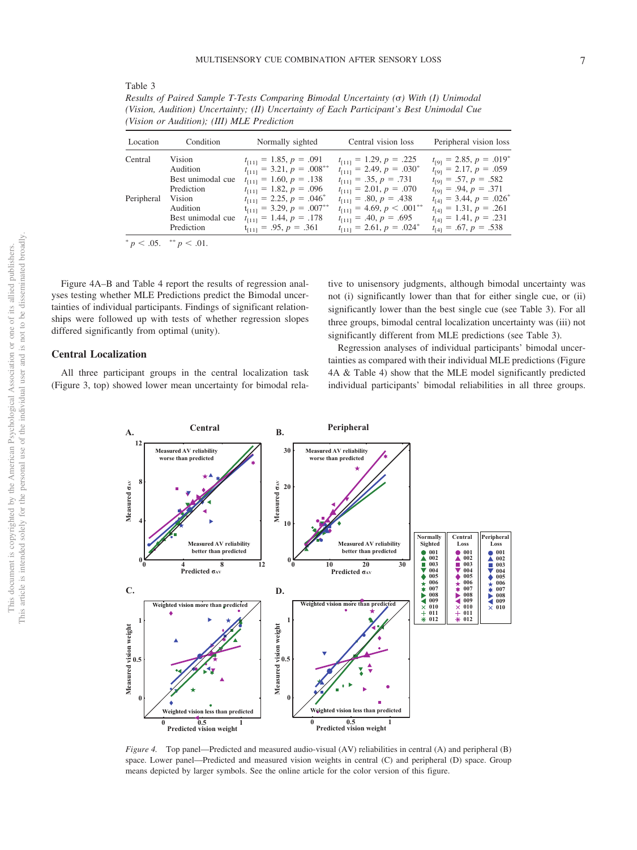| v.<br>× | ۰, |  |
|---------|----|--|
|         |    |  |

*Results of Paired Sample T-Tests Comparing Bimodal Uncertainty () With (I) Unimodal (Vision, Audition) Uncertainty; (II) Uncertainty of Each Participant's Best Unimodal Cue (Vision or Audition); (III) MLE Prediction*

| Location   | Condition           | Normally sighted                 | Central vision loss              | Peripheral vision loss              |
|------------|---------------------|----------------------------------|----------------------------------|-------------------------------------|
| Central    | Vision              | $t_{[111]} = 1.85, p = .091$     | $t_{111} = 1.29, p = .225$       | $t_{\text{f91}} = 2.85, p = .019^*$ |
|            | Audition            | $t_{[11]} = 3.21, p = .008^{**}$ | $t_{[111]} = 2.49, p = .030^*$   | $t_{\text{eq}} = 2.17, p = .059$    |
|            | Best unimodal cue   | $t_{111} = 1.60, p = .138$       | $t_{1111} = .35, p = .731$       | $t_{\text{eq}} = .57, p = .582$     |
|            | Prediction          | $t_{[111]} = 1.82, p = .096$     | $t_{[11]} = 2.01, p = .070$      | $t_{\text{f91}} = .94, p = .371$    |
| Peripheral | Vision              | $t_{[111]} = 2.25, p = .046^*$   | $t_{[11]} = .80, p = .438$       | $t_{[4]} = 3.44, p = .026^*$        |
|            | Audition            | $t_{[111]} = 3.29, p = .007***$  | $t_{[11]} = 4.69, p < .001^{**}$ | $t_{\text{f41}} = 1.31, p = .261$   |
|            | Best unimodal cue   | $t_{[111]} = 1.44, p = .178$     | $t_{[111]} = .40, p = .695$      | $t_{\text{f41}} = 1.41, p = .231$   |
|            | Prediction          | $t_{111} = .95, p = .361$        | $t_{1111} = 2.61, p = .024^*$    | $t_{\text{f41}} = .67, p = .538$    |
|            | $n > 0.5$ $n > 0.1$ |                                  |                                  |                                     |

 $^{*}p < .05.$ <sup>\*</sup>  $p < .01$ .

Figure 4A–B and [Table 4](#page-8-0) report the results of regression analyses testing whether MLE Predictions predict the Bimodal uncertainties of individual participants. Findings of significant relationships were followed up with tests of whether regression slopes differed significantly from optimal (unity).

# **Central Localization**

All three participant groups in the central localization task (Figure 3, top) showed lower mean uncertainty for bimodal relative to unisensory judgments, although bimodal uncertainty was not (i) significantly lower than that for either single cue, or (ii) significantly lower than the best single cue (see Table 3). For all three groups, bimodal central localization uncertainty was (iii) not significantly different from MLE predictions (see Table 3).

Regression analyses of individual participants' bimodal uncertainties as compared with their individual MLE predictions (Figure 4A & [Table 4\)](#page-8-0) show that the MLE model significantly predicted individual participants' bimodal reliabilities in all three groups.



*Figure 4.* Top panel—Predicted and measured audio-visual (AV) reliabilities in central (A) and peripheral (B) space. Lower panel—Predicted and measured vision weights in central (C) and peripheral (D) space. Group means depicted by larger symbols. See the online article for the color version of this figure.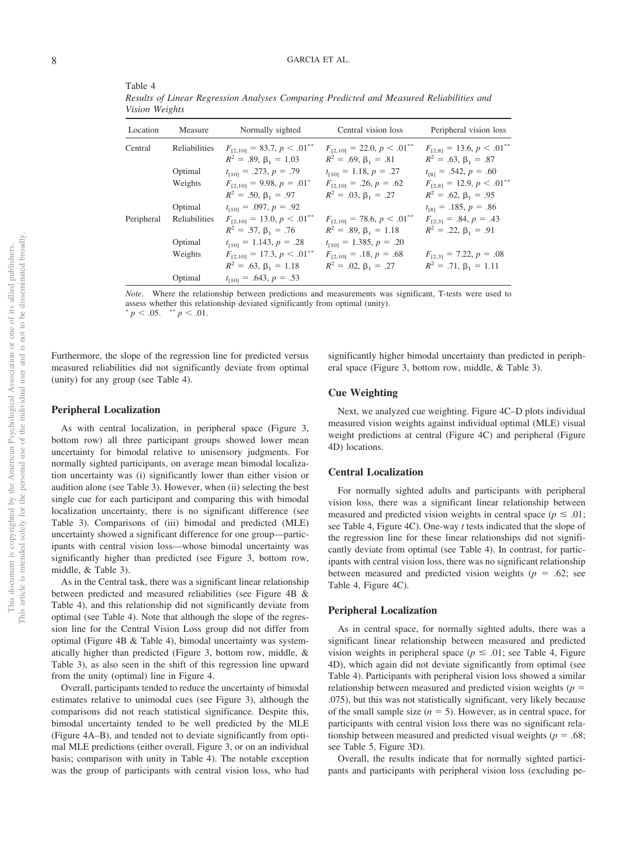| Location   | Measure       | Normally sighted                     | Central vision loss               | Peripheral vision loss           |
|------------|---------------|--------------------------------------|-----------------------------------|----------------------------------|
| Central    | Reliabilities | $F_{12,101} = 83.7, p < .01^{**}$    | $F_{12,101} = 22.0, p < .01^{**}$ | $F_{[2,8]} = 13.6, p < .01^{**}$ |
|            |               | $R^2 = .89, \beta_1 = 1.03$          | $R^2 = .69$ , $\beta_1 = .81$     | $R^2 = .63$ , $\beta_1 = .87$    |
|            | Optimal       | $t_{[10]} = .273, p = .79$           | $t_{[10]} = 1.18, p = .27$        | $t_{\text{IS1}} = .542, p = .60$ |
|            | Weights       | $F_{[2,10]} = 9.98, p = .01^*$       | $F_{12,101} = .26, p = .62$       | $F_{12,81} = 12.9, p < .01^{**}$ |
|            |               | $R^2 = .50, B_1 = .97$               | $R^2 = .03$ , $\beta_1 = .27$     | $R^2 = .62$ , $\beta_1 = .95$    |
|            | Optimal       | $t_{[10]} = .097, p = .92$           |                                   | $t_{\text{IS1}} = .185, p = .86$ |
| Peripheral | Reliabilities | $F_{[2,10]} = 13.0, p < .01^{**}$    | $F_{12,101} = 78.6, p < .01^{**}$ | $F_{12,31} = .84, p = .43$       |
|            |               | $R^2 = .57, B_1 = .76$               | $R^2 = .89$ , $\beta_1 = 1.18$    | $R^2 = .22, \beta_1 = .91$       |
|            | Optimal       | $t_{[10]} = 1.143, p = .28$          | $t_{[10]} = 1.385, p = .20$       |                                  |
|            | Weights       | $F_{12,101} = 17.3, p \lt 0.01^{**}$ | $F_{12,101} = .18, p = .68$       | $F_{12,31} = 7.22, p = .08$      |
|            |               | $R^2 = .63$ , $\beta_1 = 1.18$       | $R^2 = .02, B_1 = .27$            | $R^2 = .71$ , $\beta_1 = 1.11$   |
|            | Optimal       | $t_{[10]} = .643, p = .53$           |                                   |                                  |

<span id="page-8-0"></span>Table 4 *Results of Linear Regression Analyses Comparing Predicted and Measured Reliabilities and Vision Weights*

*Note*. Where the relationship between predictions and measurements was significant, T-tests were used to assess whether this relationship deviated significantly from optimal (unity).

 $p < .05.$  \*\*  $p < .01.$ 

Furthermore, the slope of the regression line for predicted versus measured reliabilities did not significantly deviate from optimal (unity) for any group (see [Table 4\)](#page-8-0).

# significantly higher bimodal uncertainty than predicted in peripheral space (Figure 3, bottom row, middle, & Table 3).

# **Peripheral Localization**

As with central localization, in peripheral space (Figure 3, bottom row) all three participant groups showed lower mean uncertainty for bimodal relative to unisensory judgments. For normally sighted participants, on average mean bimodal localization uncertainty was (i) significantly lower than either vision or audition alone (see Table 3). However, when (ii) selecting the best single cue for each participant and comparing this with bimodal localization uncertainty, there is no significant difference (see Table 3). Comparisons of (iii) bimodal and predicted (MLE) uncertainty showed a significant difference for one group—participants with central vision loss—whose bimodal uncertainty was significantly higher than predicted (see Figure 3, bottom row, middle, & Table 3).

As in the Central task, there was a significant linear relationship between predicted and measured reliabilities (see Figure 4B & [Table 4\)](#page-8-0), and this relationship did not significantly deviate from optimal (see [Table 4\)](#page-8-0). Note that although the slope of the regression line for the Central Vision Loss group did not differ from optimal (Figure 4B & [Table 4\)](#page-8-0), bimodal uncertainty was systematically higher than predicted (Figure 3, bottom row, middle, & Table 3), as also seen in the shift of this regression line upward from the unity (optimal) line in Figure 4.

Overall, participants tended to reduce the uncertainty of bimodal estimates relative to unimodal cues (see Figure 3), although the comparisons did not reach statistical significance. Despite this, bimodal uncertainty tended to be well predicted by the MLE (Figure 4A–B), and tended not to deviate significantly from optimal MLE predictions (either overall, Figure 3, or on an individual basis; comparison with unity in [Table 4\)](#page-8-0). The notable exception was the group of participants with central vision loss, who had

# **Cue Weighting**

Next, we analyzed cue weighting. Figure 4C–D plots individual measured vision weights against individual optimal (MLE) visual weight predictions at central (Figure 4C) and peripheral (Figure 4D) locations.

# **Central Localization**

For normally sighted adults and participants with peripheral vision loss, there was a significant linear relationship between measured and predicted vision weights in central space ( $p \le .01$ ; see [Table 4,](#page-8-0) Figure 4C). One-way *t* tests indicated that the slope of the regression line for these linear relationships did not significantly deviate from optimal (see [Table 4\)](#page-8-0). In contrast, for participants with central vision loss, there was no significant relationship between measured and predicted vision weights  $(p = .62;$  see [Table 4,](#page-8-0) Figure 4C).

#### **Peripheral Localization**

As in central space, for normally sighted adults, there was a significant linear relationship between measured and predicted vision weights in peripheral space ( $p \le .01$ ; see [Table 4,](#page-8-0) Figure 4D), which again did not deviate significantly from optimal (see [Table 4\)](#page-8-0). Participants with peripheral vision loss showed a similar relationship between measured and predicted vision weights (*p* .075), but this was not statistically significant, very likely because of the small sample size  $(n = 5)$ . However, as in central space, for participants with central vision loss there was no significant relationship between measured and predicted visual weights ( $p = .68$ ; see [Table 5,](#page-9-0) Figure 3D).

Overall, the results indicate that for normally sighted participants and participants with peripheral vision loss (excluding pe-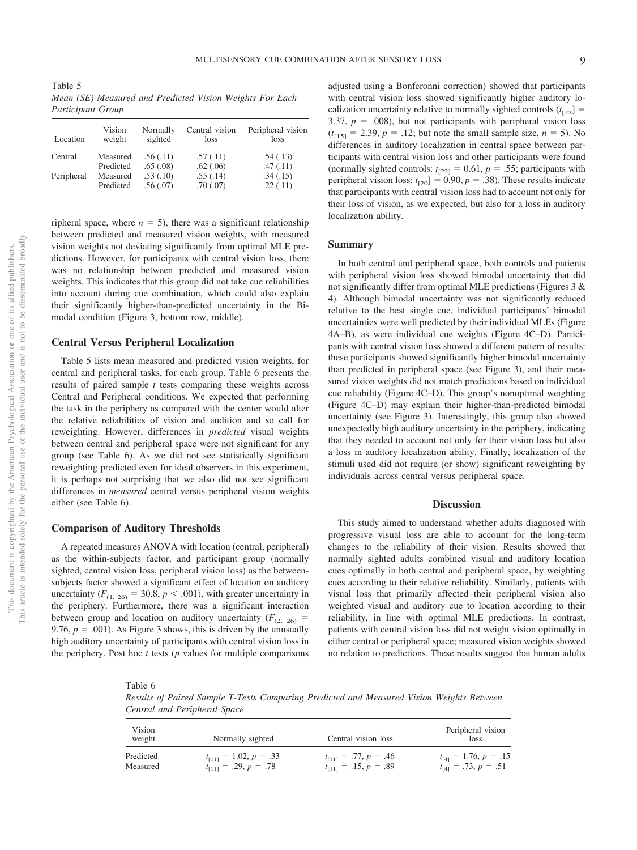<span id="page-9-0"></span>Table 5 *Mean (SE) Measured and Predicted Vision Weights For Each Participant Group*

| Location   | Vision<br>weight | Normally<br>sighted | Central vision<br>loss | Peripheral vision<br>loss |
|------------|------------------|---------------------|------------------------|---------------------------|
| Central    | Measured         | .56(.11)            | .57(.11)               | .54(.13)                  |
|            | Predicted        | .65(.08)            | .62(.06)               | .47(.11)                  |
| Peripheral | Measured         | .53(.10)            | .55(.14)               | .34(.15)                  |
|            | Predicted        | .56(.07)            | .70(0.07)              | .22(.11)                  |

ripheral space, where  $n = 5$ ), there was a significant relationship between predicted and measured vision weights, with measured vision weights not deviating significantly from optimal MLE predictions. However, for participants with central vision loss, there was no relationship between predicted and measured vision weights. This indicates that this group did not take cue reliabilities into account during cue combination, which could also explain their significantly higher-than-predicted uncertainty in the Bimodal condition (Figure 3, bottom row, middle).

# **Central Versus Peripheral Localization**

[Table 5](#page-9-0) lists mean measured and predicted vision weights, for central and peripheral tasks, for each group. [Table 6](#page-9-1) presents the results of paired sample *t* tests comparing these weights across Central and Peripheral conditions. We expected that performing the task in the periphery as compared with the center would alter the relative reliabilities of vision and audition and so call for reweighting. However, differences in *predicted* visual weights between central and peripheral space were not significant for any group (see [Table 6\)](#page-9-1). As we did not see statistically significant reweighting predicted even for ideal observers in this experiment, it is perhaps not surprising that we also did not see significant differences in *measured* central versus peripheral vision weights either (see [Table 6\)](#page-9-1).

#### **Comparison of Auditory Thresholds**

A repeated measures ANOVA with location (central, peripheral) as the within-subjects factor, and participant group (normally sighted, central vision loss, peripheral vision loss) as the betweensubjects factor showed a significant effect of location on auditory uncertainty  $(F_{(1, 26)} = 30.8, p < .001)$ , with greater uncertainty in the periphery. Furthermore, there was a significant interaction between group and location on auditory uncertainty  $(F_{(2, 26)} =$ 9.76,  $p = .001$ ). As Figure 3 shows, this is driven by the unusually high auditory uncertainty of participants with central vision loss in the periphery. Post hoc *t* tests (*p* values for multiple comparisons adjusted using a Bonferonni correction) showed that participants with central vision loss showed significantly higher auditory localization uncertainty relative to normally sighted controls  $(t_{122})$  = 3.37,  $p = .008$ ), but not participants with peripheral vision loss  $(t_{[15]} = 2.39, p = .12$ ; but note the small sample size,  $n = 5$ ). No differences in auditory localization in central space between participants with central vision loss and other participants were found (normally sighted controls:  $t_{[22]} = 0.61$ ,  $p = .55$ ; participants with peripheral vision loss:  $t_{[20]} = 0.90$ ,  $p = .38$ ). These results indicate that participants with central vision loss had to account not only for their loss of vision, as we expected, but also for a loss in auditory localization ability.

### **Summary**

In both central and peripheral space, both controls and patients with peripheral vision loss showed bimodal uncertainty that did not significantly differ from optimal MLE predictions (Figures 3 & 4). Although bimodal uncertainty was not significantly reduced relative to the best single cue, individual participants' bimodal uncertainties were well predicted by their individual MLEs (Figure 4A–B), as were individual cue weights (Figure 4C–D). Participants with central vision loss showed a different pattern of results: these participants showed significantly higher bimodal uncertainty than predicted in peripheral space (see Figure 3), and their measured vision weights did not match predictions based on individual cue reliability (Figure 4C–D). This group's nonoptimal weighting (Figure 4C–D) may explain their higher-than-predicted bimodal uncertainty (see Figure 3). Interestingly, this group also showed unexpectedly high auditory uncertainty in the periphery, indicating that they needed to account not only for their vision loss but also a loss in auditory localization ability. Finally, localization of the stimuli used did not require (or show) significant reweighting by individuals across central versus peripheral space.

#### **Discussion**

This study aimed to understand whether adults diagnosed with progressive visual loss are able to account for the long-term changes to the reliability of their vision. Results showed that normally sighted adults combined visual and auditory location cues optimally in both central and peripheral space, by weighting cues according to their relative reliability. Similarly, patients with visual loss that primarily affected their peripheral vision also weighted visual and auditory cue to location according to their reliability, in line with optimal MLE predictions. In contrast, patients with central vision loss did not weight vision optimally in either central or peripheral space; measured vision weights showed no relation to predictions. These results suggest that human adults

<span id="page-9-1"></span>Table 6

*Results of Paired Sample T-Tests Comparing Predicted and Measured Vision Weights Between Central and Peripheral Space*

| Vision<br>weight | Normally sighted            | Central vision loss        | Peripheral vision<br>loss        |
|------------------|-----------------------------|----------------------------|----------------------------------|
| Predicted        | $t_{[111]} = 1.02, p = .33$ | $t_{[111]} = .77, p = .46$ | $t_{\text{I41}} = 1.76, p = .15$ |
| Measured         | $t_{[111]} = .29, p = .78$  | $t_{[111]} = .15, p = .89$ | $t_{\text{I41}} = .73, p = .51$  |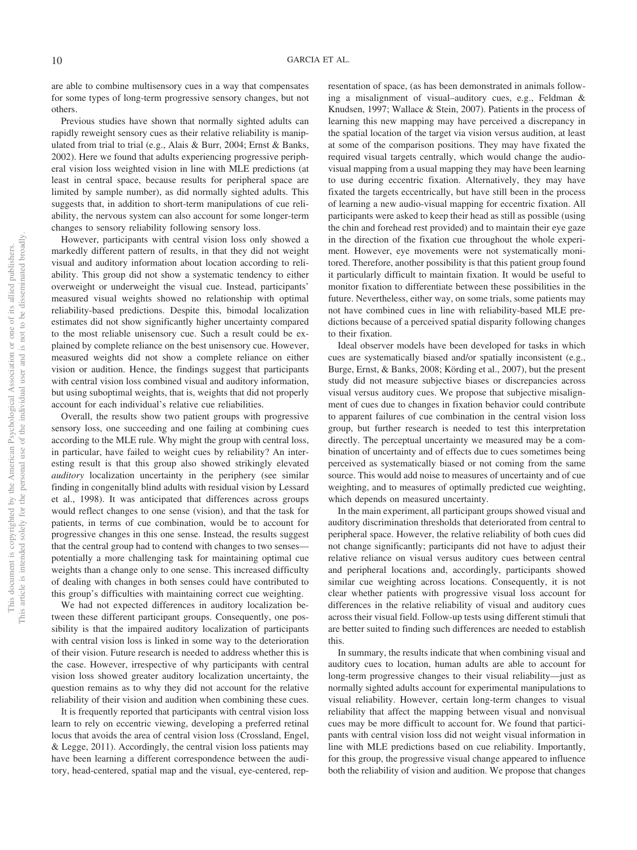are able to combine multisensory cues in a way that compensates for some types of long-term progressive sensory changes, but not others.

Previous studies have shown that normally sighted adults can rapidly reweight sensory cues as their relative reliability is manipulated from trial to trial (e.g., Alais & Burr, 2004; Ernst & Banks, 2002). Here we found that adults experiencing progressive peripheral vision loss weighted vision in line with MLE predictions (at least in central space, because results for peripheral space are limited by sample number), as did normally sighted adults. This suggests that, in addition to short-term manipulations of cue reliability, the nervous system can also account for some longer-term changes to sensory reliability following sensory loss.

However, participants with central vision loss only showed a markedly different pattern of results, in that they did not weight visual and auditory information about location according to reliability. This group did not show a systematic tendency to either overweight or underweight the visual cue. Instead, participants' measured visual weights showed no relationship with optimal reliability-based predictions. Despite this, bimodal localization estimates did not show significantly higher uncertainty compared to the most reliable unisensory cue. Such a result could be explained by complete reliance on the best unisensory cue. However, measured weights did not show a complete reliance on either vision or audition. Hence, the findings suggest that participants with central vision loss combined visual and auditory information, but using suboptimal weights, that is, weights that did not properly account for each individual's relative cue reliabilities.

Overall, the results show two patient groups with progressive sensory loss, one succeeding and one failing at combining cues according to the MLE rule. Why might the group with central loss, in particular, have failed to weight cues by reliability? An interesting result is that this group also showed strikingly elevated *auditory* localization uncertainty in the periphery (see similar finding in congenitally blind adults with residual vision by Lessard et al., 1998). It was anticipated that differences across groups would reflect changes to one sense (vision), and that the task for patients, in terms of cue combination, would be to account for progressive changes in this one sense. Instead, the results suggest that the central group had to contend with changes to two senses potentially a more challenging task for maintaining optimal cue weights than a change only to one sense. This increased difficulty of dealing with changes in both senses could have contributed to this group's difficulties with maintaining correct cue weighting.

We had not expected differences in auditory localization between these different participant groups. Consequently, one possibility is that the impaired auditory localization of participants with central vision loss is linked in some way to the deterioration of their vision. Future research is needed to address whether this is the case. However, irrespective of why participants with central vision loss showed greater auditory localization uncertainty, the question remains as to why they did not account for the relative reliability of their vision and audition when combining these cues.

It is frequently reported that participants with central vision loss learn to rely on eccentric viewing, developing a preferred retinal locus that avoids the area of central vision loss (Crossland, Engel, & Legge, 2011). Accordingly, the central vision loss patients may have been learning a different correspondence between the auditory, head-centered, spatial map and the visual, eye-centered, representation of space, (as has been demonstrated in animals following a misalignment of visual–auditory cues, e.g., Feldman & Knudsen, 1997; Wallace & Stein, 2007). Patients in the process of learning this new mapping may have perceived a discrepancy in the spatial location of the target via vision versus audition, at least at some of the comparison positions. They may have fixated the required visual targets centrally, which would change the audiovisual mapping from a usual mapping they may have been learning to use during eccentric fixation. Alternatively, they may have fixated the targets eccentrically, but have still been in the process of learning a new audio-visual mapping for eccentric fixation. All participants were asked to keep their head as still as possible (using the chin and forehead rest provided) and to maintain their eye gaze in the direction of the fixation cue throughout the whole experiment. However, eye movements were not systematically monitored. Therefore, another possibility is that this patient group found it particularly difficult to maintain fixation. It would be useful to monitor fixation to differentiate between these possibilities in the future. Nevertheless, either way, on some trials, some patients may not have combined cues in line with reliability-based MLE predictions because of a perceived spatial disparity following changes to their fixation.

Ideal observer models have been developed for tasks in which cues are systematically biased and/or spatially inconsistent (e.g., Burge, Ernst, & Banks, 2008; Körding et al., 2007), but the present study did not measure subjective biases or discrepancies across visual versus auditory cues. We propose that subjective misalignment of cues due to changes in fixation behavior could contribute to apparent failures of cue combination in the central vision loss group, but further research is needed to test this interpretation directly. The perceptual uncertainty we measured may be a combination of uncertainty and of effects due to cues sometimes being perceived as systematically biased or not coming from the same source. This would add noise to measures of uncertainty and of cue weighting, and to measures of optimally predicted cue weighting, which depends on measured uncertainty.

In the main experiment, all participant groups showed visual and auditory discrimination thresholds that deteriorated from central to peripheral space. However, the relative reliability of both cues did not change significantly; participants did not have to adjust their relative reliance on visual versus auditory cues between central and peripheral locations and, accordingly, participants showed similar cue weighting across locations. Consequently, it is not clear whether patients with progressive visual loss account for differences in the relative reliability of visual and auditory cues across their visual field. Follow-up tests using different stimuli that are better suited to finding such differences are needed to establish this.

In summary, the results indicate that when combining visual and auditory cues to location, human adults are able to account for long-term progressive changes to their visual reliability—just as normally sighted adults account for experimental manipulations to visual reliability. However, certain long-term changes to visual reliability that affect the mapping between visual and nonvisual cues may be more difficult to account for. We found that participants with central vision loss did not weight visual information in line with MLE predictions based on cue reliability. Importantly, for this group, the progressive visual change appeared to influence both the reliability of vision and audition. We propose that changes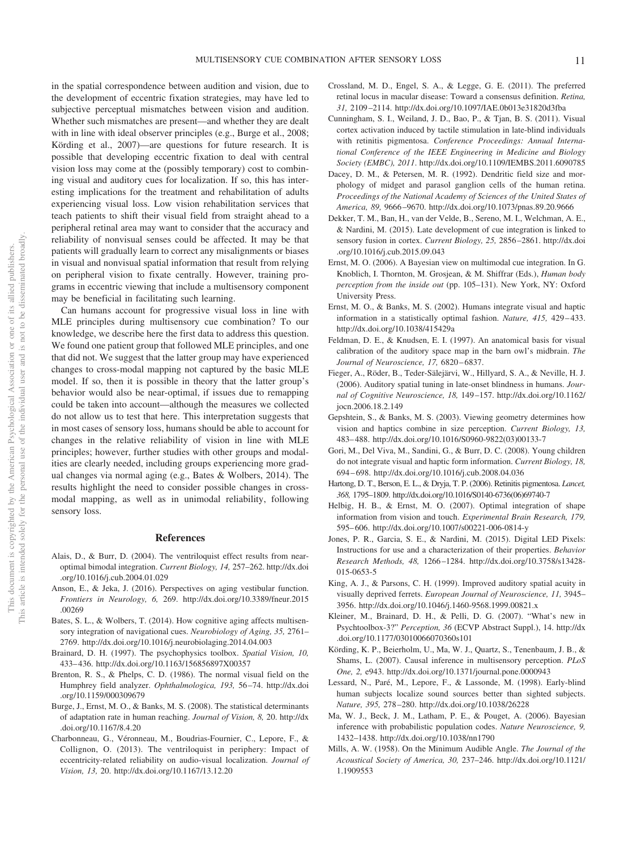in the spatial correspondence between audition and vision, due to the development of eccentric fixation strategies, may have led to subjective perceptual mismatches between vision and audition. Whether such mismatches are present—and whether they are dealt with in line with ideal observer principles (e.g., Burge et al., 2008; Körding et al., 2007)—are questions for future research. It is possible that developing eccentric fixation to deal with central vision loss may come at the (possibly temporary) cost to combining visual and auditory cues for localization. If so, this has interesting implications for the treatment and rehabilitation of adults experiencing visual loss. Low vision rehabilitation services that teach patients to shift their visual field from straight ahead to a peripheral retinal area may want to consider that the accuracy and reliability of nonvisual senses could be affected. It may be that patients will gradually learn to correct any misalignments or biases in visual and nonvisual spatial information that result from relying on peripheral vision to fixate centrally. However, training programs in eccentric viewing that include a multisensory component may be beneficial in facilitating such learning.

Can humans account for progressive visual loss in line with MLE principles during multisensory cue combination? To our knowledge, we describe here the first data to address this question. We found one patient group that followed MLE principles, and one that did not. We suggest that the latter group may have experienced changes to cross-modal mapping not captured by the basic MLE model. If so, then it is possible in theory that the latter group's behavior would also be near-optimal, if issues due to remapping could be taken into account—although the measures we collected do not allow us to test that here. This interpretation suggests that in most cases of sensory loss, humans should be able to account for changes in the relative reliability of vision in line with MLE principles; however, further studies with other groups and modalities are clearly needed, including groups experiencing more gradual changes via normal aging (e.g., Bates & Wolbers, 2014). The results highlight the need to consider possible changes in crossmodal mapping, as well as in unimodal reliability, following sensory loss.

#### **References**

- Alais, D., & Burr, D. (2004). The ventriloquist effect results from nearoptimal bimodal integration. *Current Biology, 14,* 257–262. [http://dx.doi](http://dx.doi.org/10.1016/j.cub.2004.01.029) [.org/10.1016/j.cub.2004.01.029](http://dx.doi.org/10.1016/j.cub.2004.01.029)
- Anson, E., & Jeka, J. (2016). Perspectives on aging vestibular function. *Frontiers in Neurology, 6,* 269. [http://dx.doi.org/10.3389/fneur.2015](http://dx.doi.org/10.3389/fneur.2015.00269) [.00269](http://dx.doi.org/10.3389/fneur.2015.00269)
- Bates, S. L., & Wolbers, T. (2014). How cognitive aging affects multisensory integration of navigational cues. *Neurobiology of Aging, 35,* 2761– 2769.<http://dx.doi.org/10.1016/j.neurobiolaging.2014.04.003>
- Brainard, D. H. (1997). The psychophysics toolbox. *Spatial Vision, 10,* 433– 436.<http://dx.doi.org/10.1163/156856897X00357>
- <span id="page-11-2"></span>Brenton, R. S., & Phelps, C. D. (1986). The normal visual field on the Humphrey field analyzer. *Ophthalmologica, 193,* 56 –74. [http://dx.doi](http://dx.doi.org/10.1159/000309679) [.org/10.1159/000309679](http://dx.doi.org/10.1159/000309679)
- Burge, J., Ernst, M. O., & Banks, M. S. (2008). The statistical determinants of adaptation rate in human reaching. *Journal of Vision, 8,* 20. [http://dx](http://dx.doi.org/10.1167/8.4.20) [.doi.org/10.1167/8.4.20](http://dx.doi.org/10.1167/8.4.20)
- <span id="page-11-0"></span>Charbonneau, G., Véronneau, M., Boudrias-Fournier, C., Lepore, F., & Collignon, O. (2013). The ventriloquist in periphery: Impact of eccentricity-related reliability on audio-visual localization. *Journal of Vision, 13,* 20.<http://dx.doi.org/10.1167/13.12.20>
- Crossland, M. D., Engel, S. A., & Legge, G. E. (2011). The preferred retinal locus in macular disease: Toward a consensus definition. *Retina, 31,* 2109 –2114.<http://dx.doi.org/10.1097/IAE.0b013e31820d3fba>
- <span id="page-11-1"></span>Cunningham, S. I., Weiland, J. D., Bao, P., & Tjan, B. S. (2011). Visual cortex activation induced by tactile stimulation in late-blind individuals with retinitis pigmentosa. *Conference Proceedings: Annual International Conference of the IEEE Engineering in Medicine and Biology Society (EMBC), 2011*.<http://dx.doi.org/10.1109/IEMBS.2011.6090785>
- Dacey, D. M., & Petersen, M. R. (1992). Dendritic field size and morphology of midget and parasol ganglion cells of the human retina. *Proceedings of the National Academy of Sciences of the United States of America, 89,* 9666 –9670.<http://dx.doi.org/10.1073/pnas.89.20.9666>
- Dekker, T. M., Ban, H., van der Velde, B., Sereno, M. I., Welchman, A. E., & Nardini, M. (2015). Late development of cue integration is linked to sensory fusion in cortex. *Current Biology, 25,* 2856 –2861. [http://dx.doi](http://dx.doi.org/10.1016/j.cub.2015.09.043) [.org/10.1016/j.cub.2015.09.043](http://dx.doi.org/10.1016/j.cub.2015.09.043)
- Ernst, M. O. (2006). A Bayesian view on multimodal cue integration. In G. Knoblich, I. Thornton, M. Grosjean, & M. Shiffrar (Eds.), *Human body perception from the inside out* (pp. 105–131). New York, NY: Oxford University Press.
- Ernst, M. O., & Banks, M. S. (2002). Humans integrate visual and haptic information in a statistically optimal fashion. *Nature, 415,* 429 – 433. <http://dx.doi.org/10.1038/415429a>
- Feldman, D. E., & Knudsen, E. I. (1997). An anatomical basis for visual calibration of the auditory space map in the barn owl's midbrain. *The* Journal of Neuroscience, 17, 6820-6837.
- Fieger, A., Röder, B., Teder-Sälejärvi, W., Hillyard, S. A., & Neville, H. J. (2006). Auditory spatial tuning in late-onset blindness in humans. *Journal of Cognitive Neuroscience, 18,* 149 –157. [http://dx.doi.org/10.1162/](http://dx.doi.org/10.1162/jocn.2006.18.2.149) [jocn.2006.18.2.149](http://dx.doi.org/10.1162/jocn.2006.18.2.149)
- Gepshtein, S., & Banks, M. S. (2003). Viewing geometry determines how vision and haptics combine in size perception. *Current Biology, 13,* 483– 488. [http://dx.doi.org/10.1016/S0960-9822\(03\)00133-7](http://dx.doi.org/10.1016/S0960-9822%2803%2900133-7)
- Gori, M., Del Viva, M., Sandini, G., & Burr, D. C. (2008). Young children do not integrate visual and haptic form information. *Current Biology, 18,* 694 – 698.<http://dx.doi.org/10.1016/j.cub.2008.04.036>
- Hartong, D. T., Berson, E. L., & Dryja, T. P. (2006). Retinitis pigmentosa. *Lancet, 368,* 1795–1809. [http://dx.doi.org/10.1016/S0140-6736\(06\)69740-7](http://dx.doi.org/10.1016/S0140-6736%2806%2969740-7)
- Helbig, H. B., & Ernst, M. O. (2007). Optimal integration of shape information from vision and touch. *Experimental Brain Research, 179,* 595– 606.<http://dx.doi.org/10.1007/s00221-006-0814-y>
- Jones, P. R., Garcia, S. E., & Nardini, M. (2015). Digital LED Pixels: Instructions for use and a characterization of their properties. *Behavior Research Methods, 48,* 1266 –1284. [http://dx.doi.org/10.3758/s13428-](http://dx.doi.org/10.3758/s13428-015-0653-5) [015-0653-5](http://dx.doi.org/10.3758/s13428-015-0653-5)
- King, A. J., & Parsons, C. H. (1999). Improved auditory spatial acuity in visually deprived ferrets. *European Journal of Neuroscience, 11,* 3945– 3956.<http://dx.doi.org/10.1046/j.1460-9568.1999.00821.x>
- Kleiner, M., Brainard, D. H., & Pelli, D. G. (2007). "What's new in Psychtoolbox-3?" *Perception, 36* (ECVP Abstract Suppl.), 14. [http://dx](http://dx.doi.org/10.1177/03010066070360s101) [.doi.org/10.1177/03010066070360s101](http://dx.doi.org/10.1177/03010066070360s101)
- Körding, K. P., Beierholm, U., Ma, W. J., Quartz, S., Tenenbaum, J. B., & Shams, L. (2007). Causal inference in multisensory perception. *PLoS One, 2,* e943.<http://dx.doi.org/10.1371/journal.pone.0000943>
- Lessard, N., Paré, M., Lepore, F., & Lassonde, M. (1998). Early-blind human subjects localize sound sources better than sighted subjects. *Nature, 395,* 278 –280.<http://dx.doi.org/10.1038/26228>
- Ma, W. J., Beck, J. M., Latham, P. E., & Pouget, A. (2006). Bayesian inference with probabilistic population codes. *Nature Neuroscience, 9,* 1432–1438.<http://dx.doi.org/10.1038/nn1790>
- Mills, A. W. (1958). On the Minimum Audible Angle. *The Journal of the Acoustical Society of America, 30,* 237–246. [http://dx.doi.org/10.1121/](http://dx.doi.org/10.1121/1.1909553) [1.1909553](http://dx.doi.org/10.1121/1.1909553)